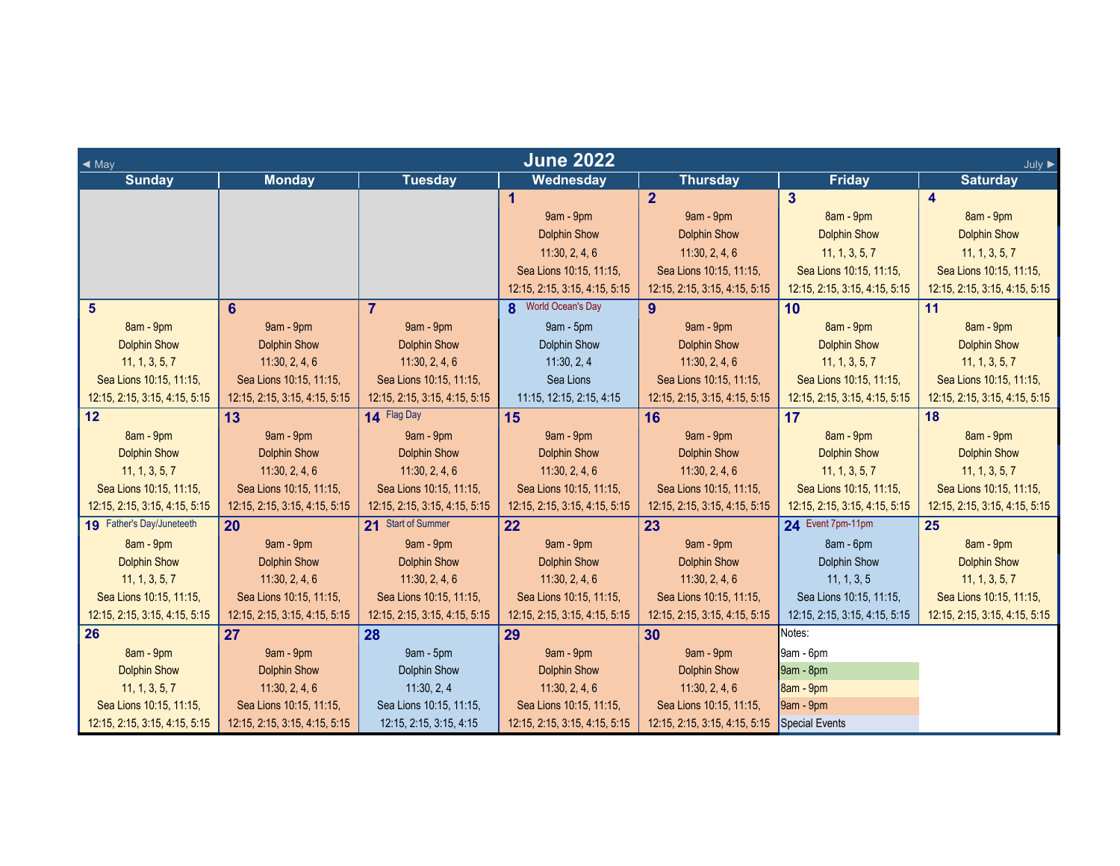| <b>June 2022</b><br>$\triangleleft$ May<br>July $\blacktriangleright$ |                               |                               |                               |                               |                               |                               |  |
|-----------------------------------------------------------------------|-------------------------------|-------------------------------|-------------------------------|-------------------------------|-------------------------------|-------------------------------|--|
| <b>Sunday</b>                                                         | <b>Monday</b>                 | <b>Tuesday</b>                | Wednesday                     | <b>Thursday</b>               | <b>Friday</b>                 | <b>Saturday</b>               |  |
|                                                                       |                               |                               | 1                             | $\overline{2}$                | $\overline{3}$                | $\overline{\mathbf{4}}$       |  |
|                                                                       |                               |                               | 9am - 9pm                     | 9am - 9pm                     | 8am - 9pm                     | 8am - 9pm                     |  |
|                                                                       |                               |                               | <b>Dolphin Show</b>           | <b>Dolphin Show</b>           | <b>Dolphin Show</b>           | <b>Dolphin Show</b>           |  |
|                                                                       |                               |                               | 11:30, 2, 4, 6                | 11:30, 2, 4, 6                | 11, 1, 3, 5, 7                | 11, 1, 3, 5, 7                |  |
|                                                                       |                               |                               | Sea Lions 10:15, 11:15,       | Sea Lions 10:15, 11:15,       | Sea Lions 10:15, 11:15,       | Sea Lions 10:15, 11:15,       |  |
|                                                                       |                               |                               | 12:15, 2:15, 3:15, 4:15, 5:15 | 12:15, 2:15, 3:15, 4:15, 5:15 | 12:15, 2:15, 3:15, 4:15, 5:15 | 12:15, 2:15, 3:15, 4:15, 5:15 |  |
| 5                                                                     | 6                             | $\overline{7}$                | <b>8</b> World Ocean's Day    | 9                             | 10                            | 11                            |  |
| 8am - 9pm                                                             | 9am - 9pm                     | 9am - 9pm                     | 9am - 5pm                     | 9am - 9pm                     | 8am - 9pm                     | 8am - 9pm                     |  |
| <b>Dolphin Show</b>                                                   | <b>Dolphin Show</b>           | <b>Dolphin Show</b>           | <b>Dolphin Show</b>           | <b>Dolphin Show</b>           | <b>Dolphin Show</b>           | <b>Dolphin Show</b>           |  |
| 11, 1, 3, 5, 7                                                        | 11:30, 2, 4, 6                | 11:30, 2, 4, 6                | 11:30, 2, 4                   | 11:30, 2, 4, 6                | 11, 1, 3, 5, 7                | 11, 1, 3, 5, 7                |  |
| Sea Lions 10:15, 11:15,                                               | Sea Lions 10:15, 11:15,       | Sea Lions 10:15, 11:15,       | Sea Lions                     | Sea Lions 10:15, 11:15,       | Sea Lions 10:15, 11:15,       | Sea Lions 10:15, 11:15,       |  |
| 12:15, 2:15, 3:15, 4:15, 5:15                                         | 12:15, 2:15, 3:15, 4:15, 5:15 | 12:15, 2:15, 3:15, 4:15, 5:15 | 11:15, 12:15, 2:15, 4:15      | 12:15, 2:15, 3:15, 4:15, 5:15 | 12:15, 2:15, 3:15, 4:15, 5:15 | 12:15, 2:15, 3:15, 4:15, 5:15 |  |
| 12                                                                    | 13                            | 14 Flag Day                   | 15                            | 16                            | 17                            | 18                            |  |
| 8am - 9pm                                                             | 9am - 9pm                     | 9am - 9pm                     | 9am - 9pm                     | 9am - 9pm                     | 8am - 9pm                     | 8am - 9pm                     |  |
| <b>Dolphin Show</b>                                                   | <b>Dolphin Show</b>           | <b>Dolphin Show</b>           | <b>Dolphin Show</b>           | <b>Dolphin Show</b>           | <b>Dolphin Show</b>           | <b>Dolphin Show</b>           |  |
| 11, 1, 3, 5, 7                                                        | 11:30, 2, 4, 6                | 11:30, 2, 4, 6                | 11:30, 2, 4, 6                | 11:30, 2, 4, 6                | 11, 1, 3, 5, 7                | 11, 1, 3, 5, 7                |  |
| Sea Lions 10:15, 11:15,                                               | Sea Lions 10:15, 11:15,       | Sea Lions 10:15, 11:15,       | Sea Lions 10:15, 11:15,       | Sea Lions 10:15, 11:15,       | Sea Lions 10:15, 11:15,       | Sea Lions 10:15, 11:15,       |  |
| 12:15, 2:15, 3:15, 4:15, 5:15                                         | 12:15, 2:15, 3:15, 4:15, 5:15 | 12:15, 2:15, 3:15, 4:15, 5:15 | 12:15, 2:15, 3:15, 4:15, 5:15 | 12:15, 2:15, 3:15, 4:15, 5:15 | 12:15, 2:15, 3:15, 4:15, 5:15 | 12:15, 2:15, 3:15, 4:15, 5:15 |  |
| 19 Father's Day/Juneteeth                                             | 20                            | 21 Start of Summer            | 22                            | 23                            | 24 Event 7pm-11pm             | 25                            |  |
| 8am - 9pm                                                             | 9am - 9pm                     | 9am - 9pm                     | 9am - 9pm                     | 9am - 9pm                     | 8am - 6pm                     | 8am - 9pm                     |  |
| <b>Dolphin Show</b>                                                   | <b>Dolphin Show</b>           | <b>Dolphin Show</b>           | <b>Dolphin Show</b>           | <b>Dolphin Show</b>           | <b>Dolphin Show</b>           | <b>Dolphin Show</b>           |  |
| 11, 1, 3, 5, 7                                                        | 11:30, 2, 4, 6                | 11:30, 2, 4, 6                | 11:30, 2, 4, 6                | 11:30, 2, 4, 6                | 11, 1, 3, 5                   | 11, 1, 3, 5, 7                |  |
| Sea Lions 10:15, 11:15,                                               | Sea Lions 10:15, 11:15,       | Sea Lions 10:15, 11:15,       | Sea Lions 10:15, 11:15,       | Sea Lions 10:15, 11:15,       | Sea Lions 10:15, 11:15,       | Sea Lions 10:15, 11:15,       |  |
| 12:15, 2:15, 3:15, 4:15, 5:15                                         | 12:15, 2:15, 3:15, 4:15, 5:15 | 12:15, 2:15, 3:15, 4:15, 5:15 | 12:15, 2:15, 3:15, 4:15, 5:15 | 12:15, 2:15, 3:15, 4:15, 5:15 | 12:15, 2:15, 3:15, 4:15, 5:15 | 12:15, 2:15, 3:15, 4:15, 5:15 |  |
| 26                                                                    | 27                            | 28                            | 29                            | 30                            | Notes:                        |                               |  |
| 8am - 9pm                                                             | 9am - 9pm                     | 9am - 5pm                     | 9am - 9pm                     | 9am - 9pm                     | 9am - 6pm                     |                               |  |
| <b>Dolphin Show</b>                                                   | <b>Dolphin Show</b>           | Dolphin Show                  | <b>Dolphin Show</b>           | <b>Dolphin Show</b>           | 9am - 8pm                     |                               |  |
| 11, 1, 3, 5, 7                                                        | 11:30, 2, 4, 6                | 11:30, 2, 4                   | 11:30, 2, 4, 6                | 11:30, 2, 4, 6                | 8am - 9pm                     |                               |  |
| Sea Lions 10:15, 11:15,                                               | Sea Lions 10:15, 11:15,       | Sea Lions 10:15, 11:15,       | Sea Lions 10:15, 11:15,       | Sea Lions 10:15, 11:15,       | $9am - 9pm$                   |                               |  |
| 12:15, 2:15, 3:15, 4:15, 5:15                                         | 12:15, 2:15, 3:15, 4:15, 5:15 | 12:15, 2:15, 3:15, 4:15       | 12:15, 2:15, 3:15, 4:15, 5:15 | 12:15, 2:15, 3:15, 4:15, 5:15 | Special Events                |                               |  |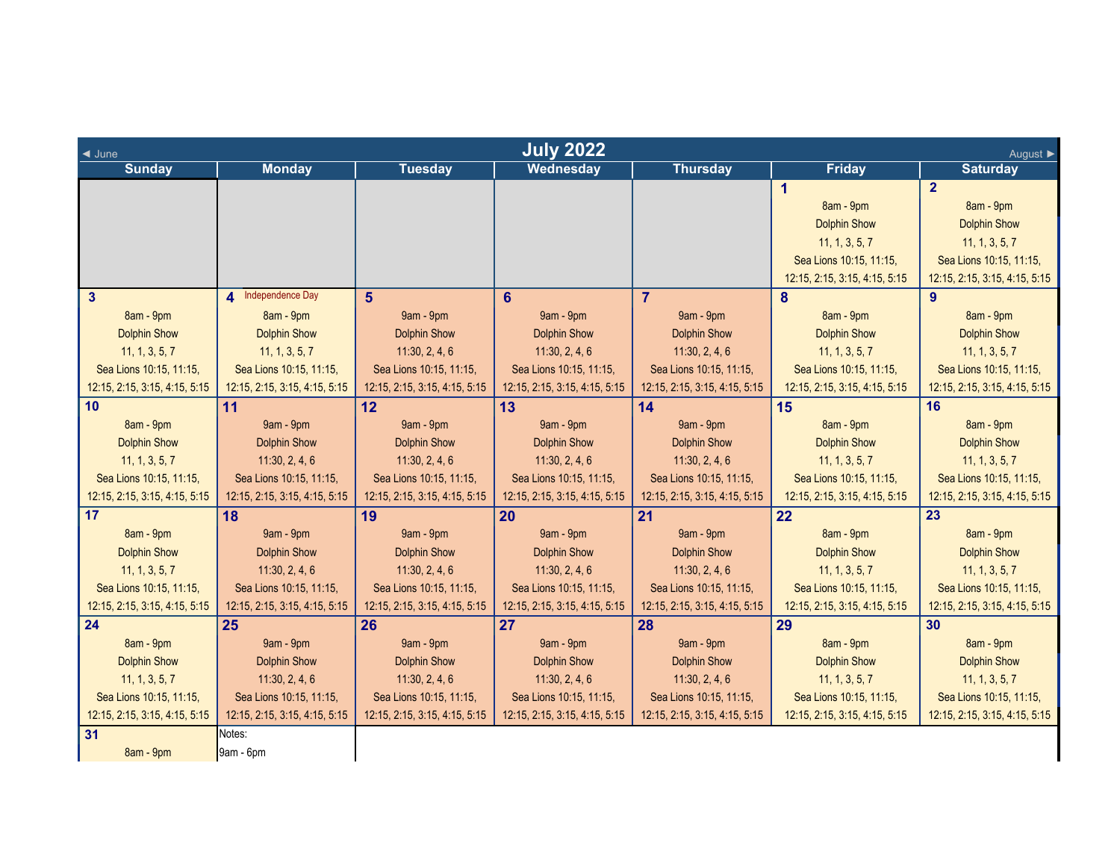| <b>July 2022</b><br>$\triangleleft$ June<br>August ▶ |                               |                               |                               |                               |                               |                               |  |
|------------------------------------------------------|-------------------------------|-------------------------------|-------------------------------|-------------------------------|-------------------------------|-------------------------------|--|
| <b>Sunday</b>                                        | <b>Monday</b>                 | <b>Tuesday</b>                | Wednesday                     | <b>Thursday</b>               | <b>Friday</b>                 | <b>Saturday</b>               |  |
|                                                      |                               |                               |                               |                               | 1                             | $\overline{2}$                |  |
|                                                      |                               |                               |                               |                               | 8am - 9pm                     | 8am - 9pm                     |  |
|                                                      |                               |                               |                               |                               | <b>Dolphin Show</b>           | <b>Dolphin Show</b>           |  |
|                                                      |                               |                               |                               |                               | 11, 1, 3, 5, 7                | 11, 1, 3, 5, 7                |  |
|                                                      |                               |                               |                               |                               | Sea Lions 10:15, 11:15,       | Sea Lions 10:15, 11:15,       |  |
|                                                      |                               |                               |                               |                               | 12:15, 2:15, 3:15, 4:15, 5:15 | 12:15, 2:15, 3:15, 4:15, 5:15 |  |
| $\mathbf{3}$                                         | 4 Independence Day            | 5 <sup>5</sup>                | 6                             | $\overline{7}$                | 8                             | $9^{\circ}$                   |  |
| 8am - 9pm                                            | 8am - 9pm                     | 9am - 9pm                     | 9am - 9pm                     | 9am - 9pm                     | 8am - 9pm                     | 8am - 9pm                     |  |
| <b>Dolphin Show</b>                                  | <b>Dolphin Show</b>           | <b>Dolphin Show</b>           | <b>Dolphin Show</b>           | <b>Dolphin Show</b>           | <b>Dolphin Show</b>           | <b>Dolphin Show</b>           |  |
| 11, 1, 3, 5, 7                                       | 11, 1, 3, 5, 7                | 11:30, 2, 4, 6                | 11:30, 2, 4, 6                | 11:30, 2, 4, 6                | 11, 1, 3, 5, 7                | 11, 1, 3, 5, 7                |  |
| Sea Lions 10:15, 11:15,                              | Sea Lions 10:15, 11:15,       | Sea Lions 10:15, 11:15,       | Sea Lions 10:15, 11:15,       | Sea Lions 10:15, 11:15,       | Sea Lions 10:15, 11:15,       | Sea Lions 10:15, 11:15,       |  |
| 12:15, 2:15, 3:15, 4:15, 5:15                        | 12:15, 2:15, 3:15, 4:15, 5:15 | 12:15, 2:15, 3:15, 4:15, 5:15 | 12:15, 2:15, 3:15, 4:15, 5:15 | 12:15, 2:15, 3:15, 4:15, 5:15 | 12:15, 2:15, 3:15, 4:15, 5:15 | 12:15, 2:15, 3:15, 4:15, 5:15 |  |
| 10 <sup>1</sup>                                      | 11                            | 12                            | 13                            | 14                            | 15                            | 16                            |  |
| 8am - 9pm                                            | 9am - 9pm                     | 9am - 9pm                     | 9am - 9pm                     | 9am - 9pm                     | 8am - 9pm                     | 8am - 9pm                     |  |
| <b>Dolphin Show</b>                                  | <b>Dolphin Show</b>           | <b>Dolphin Show</b>           | <b>Dolphin Show</b>           | <b>Dolphin Show</b>           | <b>Dolphin Show</b>           | <b>Dolphin Show</b>           |  |
| 11, 1, 3, 5, 7                                       | 11:30, 2, 4, 6                | 11:30, 2, 4, 6                | 11:30, 2, 4, 6                | 11:30, 2, 4, 6                | 11, 1, 3, 5, 7                | 11, 1, 3, 5, 7                |  |
| Sea Lions 10:15, 11:15,                              | Sea Lions 10:15, 11:15,       | Sea Lions 10:15, 11:15,       | Sea Lions 10:15, 11:15,       | Sea Lions 10:15, 11:15,       | Sea Lions 10:15, 11:15,       | Sea Lions 10:15, 11:15,       |  |
| 12:15, 2:15, 3:15, 4:15, 5:15                        | 12:15, 2:15, 3:15, 4:15, 5:15 | 12:15, 2:15, 3:15, 4:15, 5:15 | 12:15, 2:15, 3:15, 4:15, 5:15 | 12:15, 2:15, 3:15, 4:15, 5:15 | 12:15, 2:15, 3:15, 4:15, 5:15 | 12:15, 2:15, 3:15, 4:15, 5:15 |  |
| 17                                                   | 18                            | 19                            | 20                            | 21                            | 22                            | 23                            |  |
| 8am - 9pm                                            | 9am - 9pm                     | 9am - 9pm                     | 9am - 9pm                     | 9am - 9pm                     | 8am - 9pm                     | 8am - 9pm                     |  |
| <b>Dolphin Show</b>                                  | <b>Dolphin Show</b>           | <b>Dolphin Show</b>           | <b>Dolphin Show</b>           | <b>Dolphin Show</b>           | <b>Dolphin Show</b>           | <b>Dolphin Show</b>           |  |
| 11, 1, 3, 5, 7                                       | 11:30, 2, 4, 6                | 11:30, 2, 4, 6                | 11:30, 2, 4, 6                | 11:30, 2, 4, 6                | 11, 1, 3, 5, 7                | 11, 1, 3, 5, 7                |  |
| Sea Lions 10:15, 11:15,                              | Sea Lions 10:15, 11:15,       | Sea Lions 10:15, 11:15,       | Sea Lions 10:15, 11:15,       | Sea Lions 10:15, 11:15,       | Sea Lions 10:15, 11:15,       | Sea Lions 10:15, 11:15,       |  |
| 12:15, 2:15, 3:15, 4:15, 5:15                        | 12:15, 2:15, 3:15, 4:15, 5:15 | 12:15, 2:15, 3:15, 4:15, 5:15 | 12:15, 2:15, 3:15, 4:15, 5:15 | 12:15, 2:15, 3:15, 4:15, 5:15 | 12:15, 2:15, 3:15, 4:15, 5:15 | 12:15, 2:15, 3:15, 4:15, 5:15 |  |
| 24                                                   | 25                            | 26                            | 27                            | 28                            | 29                            | 30                            |  |
| 8am - 9pm                                            | 9am - 9pm                     | 9am - 9pm                     | 9am - 9pm                     | 9am - 9pm                     | 8am - 9pm                     | 8am - 9pm                     |  |
| <b>Dolphin Show</b>                                  | <b>Dolphin Show</b>           | <b>Dolphin Show</b>           | <b>Dolphin Show</b>           | <b>Dolphin Show</b>           | <b>Dolphin Show</b>           | <b>Dolphin Show</b>           |  |
| 11, 1, 3, 5, 7                                       | 11:30, 2, 4, 6                | 11:30, 2, 4, 6                | 11:30, 2, 4, 6                | 11:30, 2, 4, 6                | 11, 1, 3, 5, 7                | 11, 1, 3, 5, 7                |  |
| Sea Lions 10:15, 11:15,                              | Sea Lions 10:15, 11:15,       | Sea Lions 10:15, 11:15,       | Sea Lions 10:15, 11:15,       | Sea Lions 10:15, 11:15,       | Sea Lions 10:15, 11:15,       | Sea Lions 10:15, 11:15,       |  |
| 12:15, 2:15, 3:15, 4:15, 5:15                        | 12:15, 2:15, 3:15, 4:15, 5:15 | 12:15, 2:15, 3:15, 4:15, 5:15 | 12:15, 2:15, 3:15, 4:15, 5:15 | 12:15, 2:15, 3:15, 4:15, 5:15 | 12:15, 2:15, 3:15, 4:15, 5:15 | 12:15, 2:15, 3:15, 4:15, 5:15 |  |
| 31                                                   | Notes:                        |                               |                               |                               |                               |                               |  |
| 8am - 9pm                                            | 9am - 6pm                     |                               |                               |                               |                               |                               |  |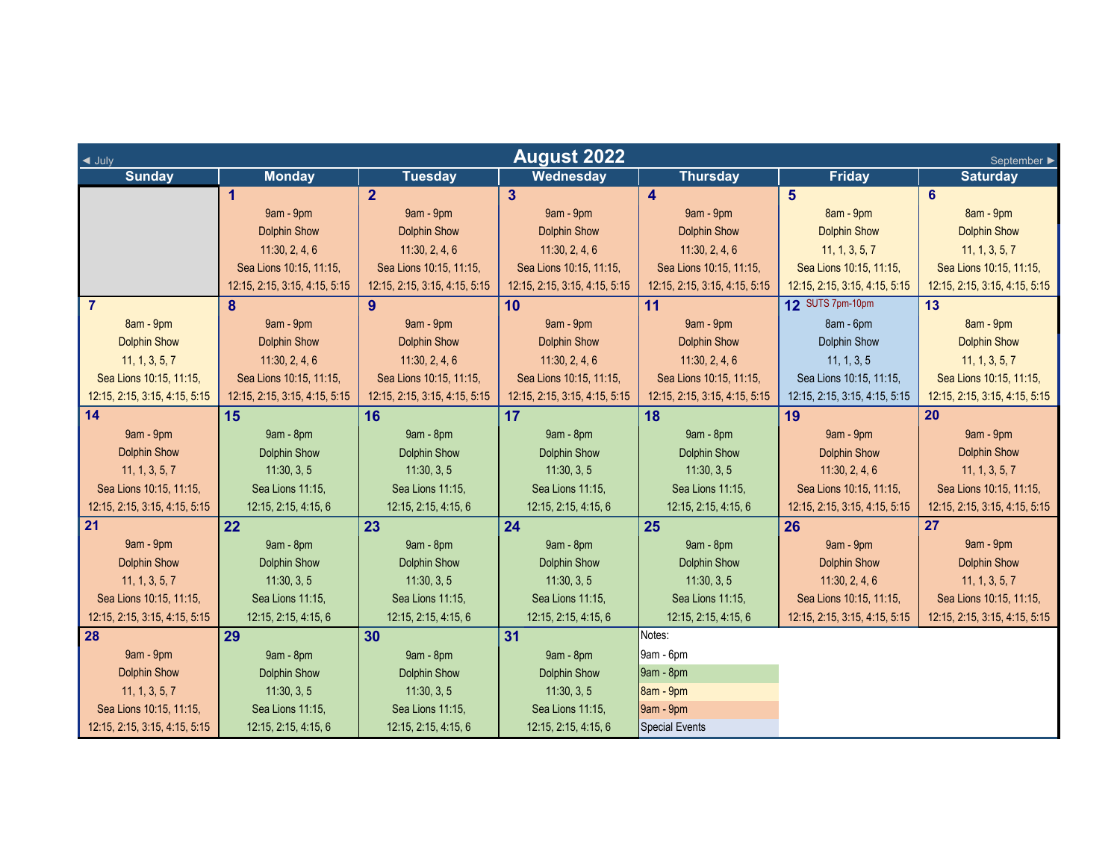| <b>August 2022</b><br>$\triangleleft$ July<br>September ▶ |                               |                               |                               |                               |                               |                               |  |
|-----------------------------------------------------------|-------------------------------|-------------------------------|-------------------------------|-------------------------------|-------------------------------|-------------------------------|--|
| <b>Sunday</b>                                             | <b>Monday</b>                 | <b>Tuesday</b>                | <b>Wednesday</b>              | <b>Thursday</b>               | <b>Friday</b>                 | <b>Saturday</b>               |  |
|                                                           | 1                             | $\overline{2}$                | 3 <sup>5</sup>                | 4                             | 5                             | 6                             |  |
|                                                           | 9am - 9pm                     | 9am - 9pm                     | 9am - 9pm                     | 9am - 9pm                     | 8am - 9pm                     | 8am - 9pm                     |  |
|                                                           | <b>Dolphin Show</b>           | <b>Dolphin Show</b>           | <b>Dolphin Show</b>           | <b>Dolphin Show</b>           | <b>Dolphin Show</b>           | <b>Dolphin Show</b>           |  |
|                                                           | 11:30, 2, 4, 6                | 11:30, 2, 4, 6                | 11:30, 2, 4, 6                | 11:30, 2, 4, 6                | 11, 1, 3, 5, 7                | 11, 1, 3, 5, 7                |  |
|                                                           | Sea Lions 10:15, 11:15,       | Sea Lions 10:15, 11:15,       | Sea Lions 10:15, 11:15,       | Sea Lions 10:15, 11:15,       | Sea Lions 10:15, 11:15,       | Sea Lions 10:15, 11:15,       |  |
|                                                           | 12:15, 2:15, 3:15, 4:15, 5:15 | 12:15, 2:15, 3:15, 4:15, 5:15 | 12:15, 2:15, 3:15, 4:15, 5:15 | 12:15, 2:15, 3:15, 4:15, 5:15 | 12:15, 2:15, 3:15, 4:15, 5:15 | 12:15, 2:15, 3:15, 4:15, 5:15 |  |
| $\overline{7}$                                            | 8                             | 9                             | 10                            | 11                            | 12 SUTS 7pm-10pm              | 13                            |  |
| 8am - 9pm                                                 | 9am - 9pm                     | 9am - 9pm                     | 9am - 9pm                     | 9am - 9pm                     | 8am - 6pm                     | 8am - 9pm                     |  |
| <b>Dolphin Show</b>                                       | <b>Dolphin Show</b>           | <b>Dolphin Show</b>           | <b>Dolphin Show</b>           | <b>Dolphin Show</b>           | Dolphin Show                  | <b>Dolphin Show</b>           |  |
| 11, 1, 3, 5, 7                                            | 11:30, 2, 4, 6                | 11:30, 2, 4, 6                | 11:30, 2, 4, 6                | 11:30, 2, 4, 6                | 11, 1, 3, 5                   | 11, 1, 3, 5, 7                |  |
| Sea Lions 10:15, 11:15,                                   | Sea Lions 10:15, 11:15,       | Sea Lions 10:15, 11:15,       | Sea Lions 10:15, 11:15,       | Sea Lions 10:15, 11:15,       | Sea Lions 10:15, 11:15,       | Sea Lions 10:15, 11:15,       |  |
| 12:15, 2:15, 3:15, 4:15, 5:15                             | 12:15, 2:15, 3:15, 4:15, 5:15 | 12:15, 2:15, 3:15, 4:15, 5:15 | 12:15, 2:15, 3:15, 4:15, 5:15 | 12:15, 2:15, 3:15, 4:15, 5:15 | 12:15, 2:15, 3:15, 4:15, 5:15 | 12:15, 2:15, 3:15, 4:15, 5:15 |  |
| 14                                                        | 15                            | 16                            | 17                            | 18                            | 19                            | 20                            |  |
| 9am - 9pm                                                 | 9am - 8pm                     | 9am - 8pm                     | 9am - 8pm                     | 9am - 8pm                     | 9am - 9pm                     | 9am - 9pm                     |  |
| <b>Dolphin Show</b>                                       | <b>Dolphin Show</b>           | <b>Dolphin Show</b>           | <b>Dolphin Show</b>           | <b>Dolphin Show</b>           | <b>Dolphin Show</b>           | <b>Dolphin Show</b>           |  |
| 11, 1, 3, 5, 7                                            | 11:30, 3, 5                   | 11:30, 3, 5                   | 11:30, 3, 5                   | 11:30, 3, 5                   | 11:30, 2, 4, 6                | 11, 1, 3, 5, 7                |  |
| Sea Lions 10:15, 11:15,                                   | Sea Lions 11:15,              | Sea Lions 11:15,              | Sea Lions 11:15,              | Sea Lions 11:15,              | Sea Lions 10:15, 11:15,       | Sea Lions 10:15, 11:15,       |  |
| 12:15, 2:15, 3:15, 4:15, 5:15                             | 12:15, 2:15, 4:15, 6          | 12:15, 2:15, 4:15, 6          | 12:15, 2:15, 4:15, 6          | 12:15, 2:15, 4:15, 6          | 12:15, 2:15, 3:15, 4:15, 5:15 | 12:15, 2:15, 3:15, 4:15, 5:15 |  |
| 21                                                        | 22                            | 23                            | 24                            | 25                            | 26                            | 27                            |  |
| 9am - 9pm                                                 | 9am - 8pm                     | 9am - 8pm                     | 9am - 8pm                     | 9am - 8pm                     | 9am - 9pm                     | 9am - 9pm                     |  |
| <b>Dolphin Show</b>                                       | <b>Dolphin Show</b>           | <b>Dolphin Show</b>           | <b>Dolphin Show</b>           | <b>Dolphin Show</b>           | <b>Dolphin Show</b>           | <b>Dolphin Show</b>           |  |
| 11, 1, 3, 5, 7                                            | 11:30, 3, 5                   | 11:30, 3, 5                   | 11:30, 3, 5                   | 11:30, 3, 5                   | 11:30, 2, 4, 6                | 11, 1, 3, 5, 7                |  |
| Sea Lions 10:15, 11:15,                                   | Sea Lions 11:15,              | Sea Lions 11:15,              | Sea Lions 11:15,              | Sea Lions 11:15,              | Sea Lions 10:15, 11:15,       | Sea Lions 10:15, 11:15,       |  |
| 12:15, 2:15, 3:15, 4:15, 5:15                             | 12:15, 2:15, 4:15, 6          | 12:15, 2:15, 4:15, 6          | 12:15, 2:15, 4:15, 6          | 12:15, 2:15, 4:15, 6          | 12:15, 2:15, 3:15, 4:15, 5:15 | 12:15, 2:15, 3:15, 4:15, 5:15 |  |
| 28                                                        | 29                            | 30                            | 31                            | Notes:                        |                               |                               |  |
| 9am - 9pm                                                 | 9am - 8pm                     | 9am - 8pm                     | 9am - 8pm                     | $9am - 6pm$                   |                               |                               |  |
| <b>Dolphin Show</b>                                       | Dolphin Show                  | <b>Dolphin Show</b>           | <b>Dolphin Show</b>           | 9am - 8pm                     |                               |                               |  |
| 11, 1, 3, 5, 7                                            | 11:30, 3, 5                   | 11:30, 3, 5                   | 11:30, 3, 5                   | 8am - 9pm                     |                               |                               |  |
| Sea Lions 10:15, 11:15,                                   | Sea Lions 11:15,              | Sea Lions 11:15,              | Sea Lions 11:15,              | 9am - 9pm                     |                               |                               |  |
| 12:15, 2:15, 3:15, 4:15, 5:15                             | 12:15, 2:15, 4:15, 6          | 12:15, 2:15, 4:15, 6          | 12:15, 2:15, 4:15, 6          | Special Events                |                               |                               |  |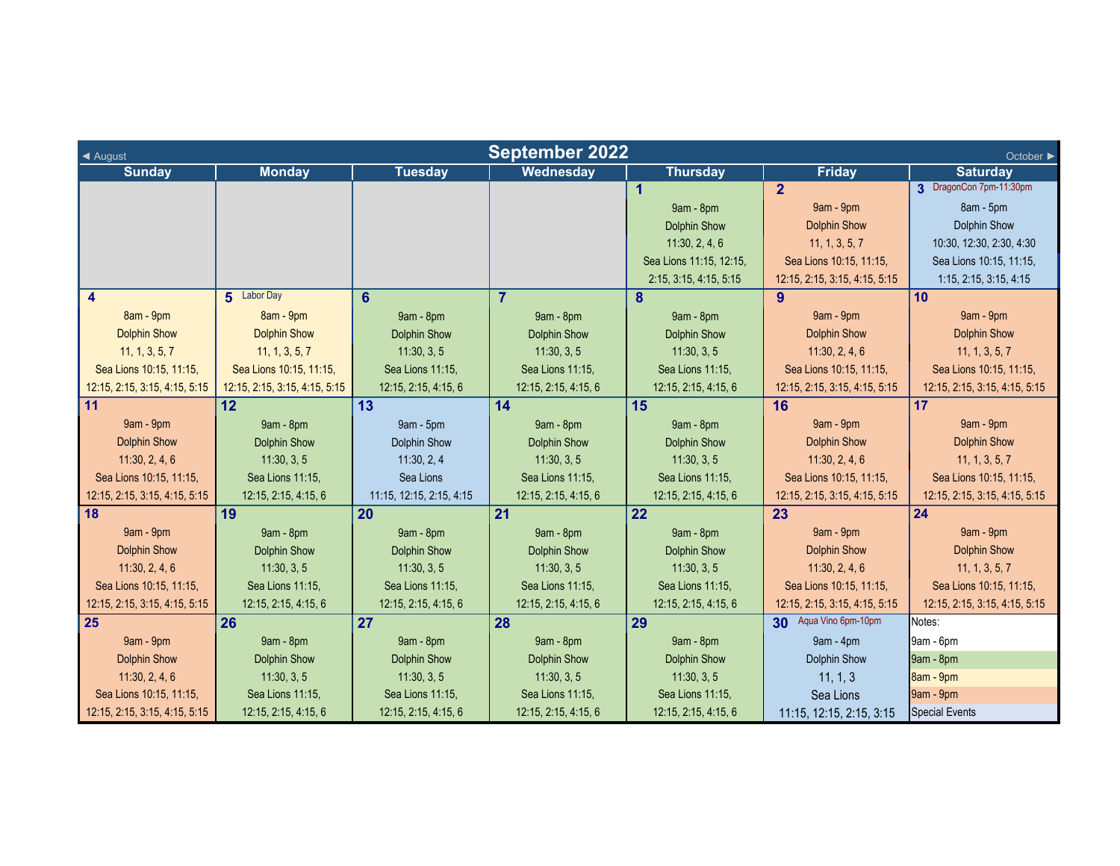| <b>September 2022</b><br>◀ August<br>October ▶ |                               |                          |                      |                         |                               |                               |  |
|------------------------------------------------|-------------------------------|--------------------------|----------------------|-------------------------|-------------------------------|-------------------------------|--|
| <b>Sunday</b>                                  | <b>Monday</b>                 | <b>Tuesday</b>           | Wednesday            | <b>Thursday</b>         | <b>Friday</b>                 | <b>Saturday</b>               |  |
|                                                |                               |                          |                      | 1                       | $\overline{2}$                | 3 DragonCon 7pm-11:30pm       |  |
|                                                |                               |                          |                      | 9am - 8pm               | 9am - 9pm                     | 8am - 5pm                     |  |
|                                                |                               |                          |                      | <b>Dolphin Show</b>     | <b>Dolphin Show</b>           | <b>Dolphin Show</b>           |  |
|                                                |                               |                          |                      | 11:30, 2, 4, 6          | 11, 1, 3, 5, 7                | 10:30, 12:30, 2:30, 4:30      |  |
|                                                |                               |                          |                      | Sea Lions 11:15, 12:15, | Sea Lions 10:15, 11:15,       | Sea Lions 10:15, 11:15,       |  |
|                                                |                               |                          |                      | 2:15, 3:15, 4:15, 5:15  | 12:15, 2:15, 3:15, 4:15, 5:15 | 1:15, 2:15, 3:15, 4:15        |  |
| 4                                              | 5 Labor Day                   | 6                        | $\overline{7}$       | 8                       | 9                             | 10                            |  |
| 8am - 9pm                                      | 8am - 9pm                     | 9am - 8pm                | 9am - 8pm            | 9am - 8pm               | 9am - 9pm                     | 9am - 9pm                     |  |
| <b>Dolphin Show</b>                            | <b>Dolphin Show</b>           | <b>Dolphin Show</b>      | <b>Dolphin Show</b>  | <b>Dolphin Show</b>     | <b>Dolphin Show</b>           | <b>Dolphin Show</b>           |  |
| 11, 1, 3, 5, 7                                 | 11, 1, 3, 5, 7                | 11:30, 3, 5              | 11:30, 3, 5          | 11:30, 3, 5             | 11:30, 2, 4, 6                | 11, 1, 3, 5, 7                |  |
| Sea Lions 10:15, 11:15,                        | Sea Lions 10:15, 11:15,       | Sea Lions 11:15,         | Sea Lions 11:15,     | Sea Lions 11:15,        | Sea Lions 10:15, 11:15,       | Sea Lions 10:15, 11:15,       |  |
| 12:15, 2:15, 3:15, 4:15, 5:15                  | 12:15, 2:15, 3:15, 4:15, 5:15 | 12:15, 2:15, 4:15, 6     | 12:15, 2:15, 4:15, 6 | 12:15, 2:15, 4:15, 6    | 12:15, 2:15, 3:15, 4:15, 5:15 | 12:15, 2:15, 3:15, 4:15, 5:15 |  |
| 11                                             | 12                            | 13                       | 14                   | 15                      | 16                            | 17                            |  |
| 9am - 9pm                                      | 9am - 8pm                     | 9am - 5pm                | 9am - 8pm            | 9am - 8pm               | 9am - 9pm                     | 9am - 9pm                     |  |
| <b>Dolphin Show</b>                            | <b>Dolphin Show</b>           | Dolphin Show             | <b>Dolphin Show</b>  | <b>Dolphin Show</b>     | <b>Dolphin Show</b>           | <b>Dolphin Show</b>           |  |
| 11:30, 2, 4, 6                                 | 11:30, 3, 5                   | 11:30, 2, 4              | 11:30, 3, 5          | 11:30, 3, 5             | 11:30, 2, 4, 6                | 11, 1, 3, 5, 7                |  |
| Sea Lions 10:15, 11:15,                        | Sea Lions 11:15,              | Sea Lions                | Sea Lions 11:15,     | Sea Lions 11:15,        | Sea Lions 10:15, 11:15,       | Sea Lions 10:15, 11:15,       |  |
| 12:15, 2:15, 3:15, 4:15, 5:15                  | 12:15, 2:15, 4:15, 6          | 11:15, 12:15, 2:15, 4:15 | 12:15, 2:15, 4:15, 6 | 12:15, 2:15, 4:15, 6    | 12:15, 2:15, 3:15, 4:15, 5:15 | 12:15, 2:15, 3:15, 4:15, 5:15 |  |
| 18                                             | 19                            | 20                       | 21                   | 22                      | 23                            | 24                            |  |
| 9am - 9pm                                      | 9am - 8pm                     | 9am - 8pm                | 9am - 8pm            | 9am - 8pm               | 9am - 9pm                     | 9am - 9pm                     |  |
| <b>Dolphin Show</b>                            | <b>Dolphin Show</b>           | <b>Dolphin Show</b>      | <b>Dolphin Show</b>  | <b>Dolphin Show</b>     | <b>Dolphin Show</b>           | <b>Dolphin Show</b>           |  |
| 11:30, 2, 4, 6                                 | 11:30, 3, 5                   | 11:30, 3, 5              | 11:30, 3, 5          | 11:30, 3, 5             | 11:30, 2, 4, 6                | 11, 1, 3, 5, 7                |  |
| Sea Lions 10:15, 11:15,                        | Sea Lions 11:15,              | Sea Lions 11:15,         | Sea Lions 11:15,     | Sea Lions 11:15,        | Sea Lions 10:15, 11:15,       | Sea Lions 10:15, 11:15,       |  |
| 12:15, 2:15, 3:15, 4:15, 5:15                  | 12:15, 2:15, 4:15, 6          | 12:15, 2:15, 4:15, 6     | 12:15, 2:15, 4:15, 6 | 12:15, 2:15, 4:15, 6    | 12:15, 2:15, 3:15, 4:15, 5:15 | 12:15, 2:15, 3:15, 4:15, 5:15 |  |
| 25                                             | 26                            | 27                       | 28                   | 29                      | 30 Aqua Vino 6pm-10pm         | Notes:                        |  |
| 9am - 9pm                                      | 9am - 8pm                     | 9am - 8pm                | 9am - 8pm            | 9am - 8pm               | $9am - 4pm$                   | 9am - 6pm                     |  |
| <b>Dolphin Show</b>                            | <b>Dolphin Show</b>           | <b>Dolphin Show</b>      | <b>Dolphin Show</b>  | <b>Dolphin Show</b>     | <b>Dolphin Show</b>           | 9am - 8pm                     |  |
| 11:30, 2, 4, 6                                 | 11:30, 3, 5                   | 11:30, 3, 5              | 11:30, 3, 5          | 11:30, 3, 5             | 11, 1, 3                      | 8am - 9pm                     |  |
| Sea Lions 10:15, 11:15,                        | Sea Lions 11:15,              | Sea Lions 11:15,         | Sea Lions 11:15,     | Sea Lions 11:15,        | Sea Lions                     | 9am - 9pm                     |  |
| 12:15, 2:15, 3:15, 4:15, 5:15                  | 12:15, 2:15, 4:15, 6          | 12:15, 2:15, 4:15, 6     | 12:15, 2:15, 4:15, 6 | 12:15, 2:15, 4:15, 6    | 11:15, 12:15, 2:15, 3:15      | <b>Special Events</b>         |  |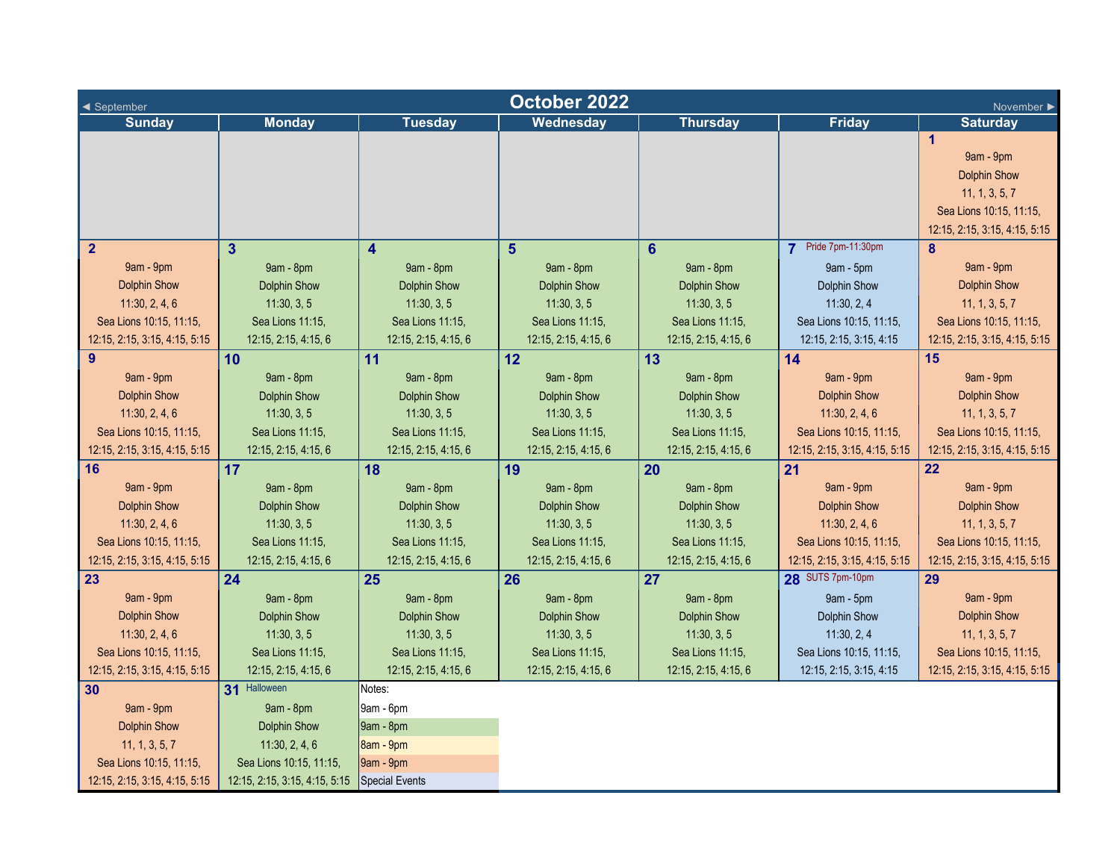| October 2022<br>◀ September<br>November ▶ |                                              |                         |                      |                      |                               |                               |  |
|-------------------------------------------|----------------------------------------------|-------------------------|----------------------|----------------------|-------------------------------|-------------------------------|--|
| <b>Sunday</b>                             | <b>Monday</b>                                | <b>Tuesday</b>          | Wednesday            | <b>Thursday</b>      | <b>Friday</b>                 | <b>Saturday</b>               |  |
|                                           |                                              |                         |                      |                      |                               | $\mathbf{1}$                  |  |
|                                           |                                              |                         |                      |                      |                               | 9am - 9pm                     |  |
|                                           |                                              |                         |                      |                      |                               | <b>Dolphin Show</b>           |  |
|                                           |                                              |                         |                      |                      |                               | 11, 1, 3, 5, 7                |  |
|                                           |                                              |                         |                      |                      |                               | Sea Lions 10:15, 11:15,       |  |
|                                           |                                              |                         |                      |                      |                               | 12:15, 2:15, 3:15, 4:15, 5:15 |  |
| $\mathbf{2}$                              | 3 <sup>1</sup>                               | $\overline{\mathbf{4}}$ | $5\phantom{1}$       | $6\phantom{1}$       | 7 Pride 7pm-11:30pm           | 8                             |  |
| 9am - 9pm                                 | 9am - 8pm                                    | 9am - 8pm               | 9am - 8pm            | 9am - 8pm            | 9am - 5pm                     | 9am - 9pm                     |  |
| <b>Dolphin Show</b>                       | <b>Dolphin Show</b>                          | <b>Dolphin Show</b>     | <b>Dolphin Show</b>  | <b>Dolphin Show</b>  | <b>Dolphin Show</b>           | <b>Dolphin Show</b>           |  |
| 11:30, 2, 4, 6                            | 11:30, 3, 5                                  | 11:30, 3, 5             | 11:30, 3, 5          | 11:30, 3, 5          | 11:30, 2, 4                   | 11, 1, 3, 5, 7                |  |
| Sea Lions 10:15, 11:15,                   | Sea Lions 11:15,                             | Sea Lions 11:15,        | Sea Lions 11:15,     | Sea Lions 11:15,     | Sea Lions 10:15, 11:15,       | Sea Lions 10:15, 11:15,       |  |
| 12:15, 2:15, 3:15, 4:15, 5:15             | 12:15, 2:15, 4:15, 6                         | 12:15, 2:15, 4:15, 6    | 12:15, 2:15, 4:15, 6 | 12:15, 2:15, 4:15, 6 | 12:15, 2:15, 3:15, 4:15       | 12:15, 2:15, 3:15, 4:15, 5:15 |  |
| 9                                         | 10                                           | 11                      | 12                   | 13                   | 14                            | 15                            |  |
| 9am - 9pm                                 | 9am - 8pm                                    | 9am - 8pm               | 9am - 8pm            | 9am - 8pm            | 9am - 9pm                     | 9am - 9pm                     |  |
| <b>Dolphin Show</b>                       | <b>Dolphin Show</b>                          | <b>Dolphin Show</b>     | <b>Dolphin Show</b>  | <b>Dolphin Show</b>  | <b>Dolphin Show</b>           | <b>Dolphin Show</b>           |  |
| 11:30, 2, 4, 6                            | 11:30, 3, 5                                  | 11:30, 3, 5             | 11:30, 3, 5          | 11:30, 3, 5          | 11:30, 2, 4, 6                | 11, 1, 3, 5, 7                |  |
| Sea Lions 10:15, 11:15,                   | Sea Lions 11:15,                             | Sea Lions 11:15,        | Sea Lions 11:15,     | Sea Lions 11:15,     | Sea Lions 10:15, 11:15,       | Sea Lions 10:15, 11:15,       |  |
| 12:15, 2:15, 3:15, 4:15, 5:15             | 12:15, 2:15, 4:15, 6                         | 12:15, 2:15, 4:15, 6    | 12:15, 2:15, 4:15, 6 | 12:15, 2:15, 4:15, 6 | 12:15, 2:15, 3:15, 4:15, 5:15 | 12:15, 2:15, 3:15, 4:15, 5:15 |  |
| 16                                        | 17                                           | 18                      | 19                   | 20                   | 21                            | 22                            |  |
| 9am - 9pm                                 | 9am - 8pm                                    | 9am - 8pm               | 9am - 8pm            | 9am - 8pm            | 9am - 9pm                     | 9am - 9pm                     |  |
| <b>Dolphin Show</b>                       | <b>Dolphin Show</b>                          | <b>Dolphin Show</b>     | <b>Dolphin Show</b>  | <b>Dolphin Show</b>  | <b>Dolphin Show</b>           | <b>Dolphin Show</b>           |  |
| 11:30, 2, 4, 6                            | 11:30, 3, 5                                  | 11:30, 3, 5             | 11:30, 3, 5          | 11:30, 3, 5          | 11:30, 2, 4, 6                | 11, 1, 3, 5, 7                |  |
| Sea Lions 10:15, 11:15,                   | Sea Lions 11:15,                             | Sea Lions 11:15,        | Sea Lions 11:15,     | Sea Lions 11:15,     | Sea Lions 10:15, 11:15,       | Sea Lions 10:15, 11:15,       |  |
| 12:15, 2:15, 3:15, 4:15, 5:15             | 12:15, 2:15, 4:15, 6                         | 12:15, 2:15, 4:15, 6    | 12:15, 2:15, 4:15, 6 | 12:15, 2:15, 4:15, 6 | 12:15, 2:15, 3:15, 4:15, 5:15 | 12:15, 2:15, 3:15, 4:15, 5:15 |  |
| 23                                        | 24                                           | 25                      | 26                   | 27                   | <b>28</b> SUTS 7pm-10pm       | 29                            |  |
| 9am - 9pm                                 | 9am - 8pm                                    | 9am - 8pm               | 9am - 8pm            | 9am - 8pm            | $9am - 5pm$                   | 9am - 9pm                     |  |
| <b>Dolphin Show</b>                       | <b>Dolphin Show</b>                          | <b>Dolphin Show</b>     | <b>Dolphin Show</b>  | <b>Dolphin Show</b>  | <b>Dolphin Show</b>           | <b>Dolphin Show</b>           |  |
| 11:30, 2, 4, 6                            | 11:30, 3, 5                                  | 11:30, 3, 5             | 11:30, 3, 5          | 11:30, 3, 5          | 11:30, 2, 4                   | 11, 1, 3, 5, 7                |  |
| Sea Lions 10:15, 11:15,                   | Sea Lions 11:15,                             | Sea Lions 11:15,        | Sea Lions 11:15,     | Sea Lions 11:15,     | Sea Lions 10:15, 11:15,       | Sea Lions 10:15, 11:15,       |  |
| 12:15, 2:15, 3:15, 4:15, 5:15             | 12:15, 2:15, 4:15, 6                         | 12:15, 2:15, 4:15, 6    | 12:15, 2:15, 4:15, 6 | 12:15, 2:15, 4:15, 6 | 12:15, 2:15, 3:15, 4:15       | 12:15, 2:15, 3:15, 4:15, 5:15 |  |
| 30                                        | 31 Halloween                                 | Notes:                  |                      |                      |                               |                               |  |
| 9am - 9pm                                 | 9am - 8pm                                    | $9am - 6pm$             |                      |                      |                               |                               |  |
| <b>Dolphin Show</b>                       | <b>Dolphin Show</b>                          | 9am - 8pm               |                      |                      |                               |                               |  |
| 11, 1, 3, 5, 7                            | 11:30, 2, 4, 6                               | 8am - 9pm               |                      |                      |                               |                               |  |
| Sea Lions 10:15, 11:15,                   | Sea Lions 10:15, 11:15,                      | 9am - 9pm               |                      |                      |                               |                               |  |
| 12:15, 2:15, 3:15, 4:15, 5:15             | 12:15, 2:15, 3:15, 4:15, 5:15 Special Events |                         |                      |                      |                               |                               |  |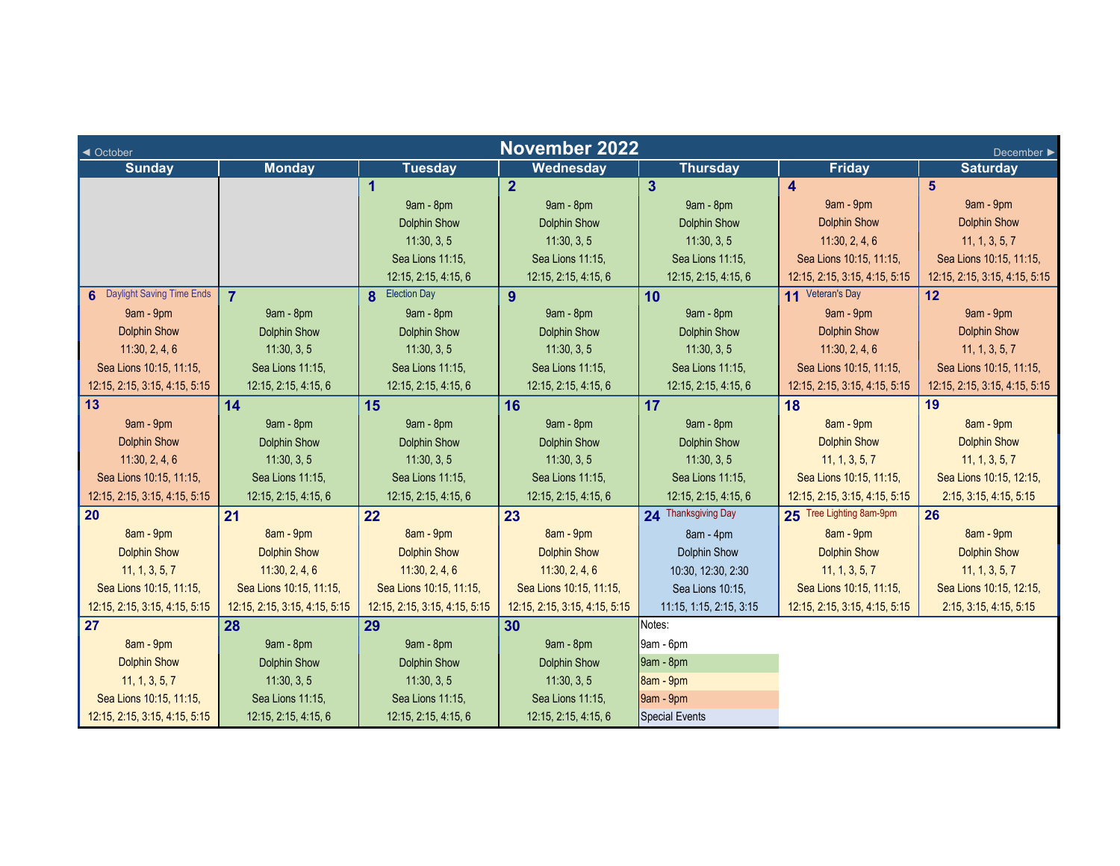| <b>November 2022</b><br>◀ October<br>December ▶ |                               |                               |                               |                         |                               |                               |  |
|-------------------------------------------------|-------------------------------|-------------------------------|-------------------------------|-------------------------|-------------------------------|-------------------------------|--|
| <b>Sunday</b>                                   | <b>Monday</b>                 | <b>Tuesday</b>                | Wednesday                     | <b>Thursday</b>         | Friday                        | <b>Saturday</b>               |  |
|                                                 |                               | $\overline{1}$                | $\overline{2}$                | $\overline{\mathbf{3}}$ | $\overline{\mathbf{4}}$       | 5                             |  |
|                                                 |                               | 9am - 8pm                     | 9am - 8pm                     | 9am - 8pm               | 9am - 9pm                     | 9am - 9pm                     |  |
|                                                 |                               | <b>Dolphin Show</b>           | <b>Dolphin Show</b>           | <b>Dolphin Show</b>     | <b>Dolphin Show</b>           | <b>Dolphin Show</b>           |  |
|                                                 |                               | 11:30, 3, 5                   | 11:30, 3, 5                   | 11:30, 3, 5             | 11:30, 2, 4, 6                | 11, 1, 3, 5, 7                |  |
|                                                 |                               | Sea Lions 11:15,              | Sea Lions 11:15,              | Sea Lions 11:15,        | Sea Lions 10:15, 11:15,       | Sea Lions 10:15, 11:15,       |  |
|                                                 |                               | 12:15, 2:15, 4:15, 6          | 12:15, 2:15, 4:15, 6          | 12:15, 2:15, 4:15, 6    | 12:15, 2:15, 3:15, 4:15, 5:15 | 12:15, 2:15, 3:15, 4:15, 5:15 |  |
| 6 Daylight Saving Time Ends                     | $\overline{7}$                | <b>8</b> Election Day         | 9                             | 10                      | 11 Veteran's Day              | 12                            |  |
| 9am - 9pm                                       | 9am - 8pm                     | 9am - 8pm                     | 9am - 8pm                     | 9am - 8pm               | 9am - 9pm                     | 9am - 9pm                     |  |
| <b>Dolphin Show</b>                             | <b>Dolphin Show</b>           | <b>Dolphin Show</b>           | <b>Dolphin Show</b>           | <b>Dolphin Show</b>     | <b>Dolphin Show</b>           | <b>Dolphin Show</b>           |  |
| 11:30, 2, 4, 6                                  | 11:30, 3, 5                   | 11:30, 3, 5                   | 11:30, 3, 5                   | 11:30, 3, 5             | 11:30, 2, 4, 6                | 11, 1, 3, 5, 7                |  |
| Sea Lions 10:15, 11:15,                         | Sea Lions 11:15,              | Sea Lions 11:15,              | Sea Lions 11:15,              | Sea Lions 11:15,        | Sea Lions 10:15, 11:15,       | Sea Lions 10:15, 11:15,       |  |
| 12:15, 2:15, 3:15, 4:15, 5:15                   | 12:15, 2:15, 4:15, 6          | 12:15, 2:15, 4:15, 6          | 12:15, 2:15, 4:15, 6          | 12:15, 2:15, 4:15, 6    | 12:15, 2:15, 3:15, 4:15, 5:15 | 12:15, 2:15, 3:15, 4:15, 5:15 |  |
| 13                                              | 14                            | 15                            | 16                            | 17                      | 18                            | 19                            |  |
| 9am - 9pm                                       | 9am - 8pm                     | 9am - 8pm                     | 9am - 8pm                     | 9am - 8pm               | 8am - 9pm                     | 8am - 9pm                     |  |
| <b>Dolphin Show</b>                             | <b>Dolphin Show</b>           | <b>Dolphin Show</b>           | <b>Dolphin Show</b>           | <b>Dolphin Show</b>     | <b>Dolphin Show</b>           | <b>Dolphin Show</b>           |  |
| 11:30, 2, 4, 6                                  | 11:30, 3, 5                   | 11:30, 3, 5                   | 11:30, 3, 5                   | 11:30, 3, 5             | 11, 1, 3, 5, 7                | 11, 1, 3, 5, 7                |  |
| Sea Lions 10:15, 11:15,                         | Sea Lions 11:15,              | Sea Lions 11:15,              | Sea Lions 11:15,              | Sea Lions 11:15,        | Sea Lions 10:15, 11:15,       | Sea Lions 10:15, 12:15,       |  |
| 12:15, 2:15, 3:15, 4:15, 5:15                   | 12:15, 2:15, 4:15, 6          | 12:15, 2:15, 4:15, 6          | 12:15, 2:15, 4:15, 6          | 12:15, 2:15, 4:15, 6    | 12:15, 2:15, 3:15, 4:15, 5:15 | 2:15, 3:15, 4:15, 5:15        |  |
| 20                                              | 21                            | 22                            | 23                            | 24 Thanksgiving Day     | 25 Tree Lighting 8am-9pm      | 26                            |  |
| 8am - 9pm                                       | 8am - 9pm                     | 8am - 9pm                     | 8am - 9pm                     | 8am - 4pm               | 8am - 9pm                     | 8am - 9pm                     |  |
| <b>Dolphin Show</b>                             | <b>Dolphin Show</b>           | <b>Dolphin Show</b>           | <b>Dolphin Show</b>           | <b>Dolphin Show</b>     | <b>Dolphin Show</b>           | <b>Dolphin Show</b>           |  |
| 11, 1, 3, 5, 7                                  | 11:30, 2, 4, 6                | 11:30, 2, 4, 6                | 11:30, 2, 4, 6                | 10:30, 12:30, 2:30      | 11, 1, 3, 5, 7                | 11, 1, 3, 5, 7                |  |
| Sea Lions 10:15, 11:15,                         | Sea Lions 10:15, 11:15,       | Sea Lions 10:15, 11:15,       | Sea Lions 10:15, 11:15,       | Sea Lions 10:15,        | Sea Lions 10:15, 11:15,       | Sea Lions 10:15, 12:15,       |  |
| 12:15, 2:15, 3:15, 4:15, 5:15                   | 12:15, 2:15, 3:15, 4:15, 5:15 | 12:15, 2:15, 3:15, 4:15, 5:15 | 12:15, 2:15, 3:15, 4:15, 5:15 | 11:15, 1:15, 2:15, 3:15 | 12:15, 2:15, 3:15, 4:15, 5:15 | 2:15, 3:15, 4:15, 5:15        |  |
| 27                                              | 28                            | 29                            | 30 <sup>°</sup>               | Notes:                  |                               |                               |  |
| 8am - 9pm                                       | 9am - 8pm                     | 9am - 8pm                     | 9am - 8pm                     | 9am - 6pm               |                               |                               |  |
| <b>Dolphin Show</b>                             | <b>Dolphin Show</b>           | <b>Dolphin Show</b>           | <b>Dolphin Show</b>           | 9am - 8pm               |                               |                               |  |
| 11, 1, 3, 5, 7                                  | 11:30, 3, 5                   | 11:30, 3, 5                   | 11:30, 3, 5                   | 8am - 9pm               |                               |                               |  |
| Sea Lions 10:15, 11:15,                         | Sea Lions 11:15,              | Sea Lions 11:15,              | Sea Lions 11:15,              | 9am - 9pm               |                               |                               |  |
| 12:15, 2:15, 3:15, 4:15, 5:15                   | 12:15, 2:15, 4:15, 6          | 12:15, 2:15, 4:15, 6          | 12:15, 2:15, 4:15, 6          | <b>Special Events</b>   |                               |                               |  |